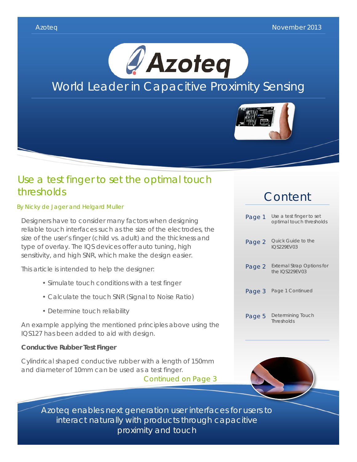



### Use a test finger to set the optimal touch thresholds

By Nicky de Jager and Helgard Muller

Designers have to consider many factors when designing reliable touch interfaces such as the size of the electrodes, the size of the user's finger (child vs. adult) and the thickness and type of overlay. The IQS devices offer auto tuning, high sensitivity, and high SNR, which make the design easier.

This article is intended to help the designer:

- Simulate touch conditions with a test finger
- Calculate the touch SNR (Signal to Noise Ratio)
- Determine touch reliability

An example applying the mentioned principles above using the IQS127 has been added to aid with design.

### **Conductive Rubber Test Finger**

Cylindrical shaped conductive rubber with a length of 150mm and diameter of 10mm can be used as a test finger.

Continued on Page 3

## Content





Azoteq enables next generation user interfaces for users to interact naturally with products through capacitive proximity and touch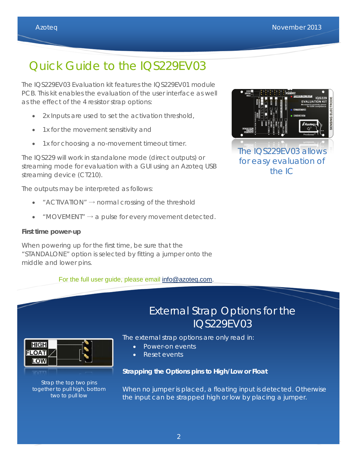# Quick Guide to the IQS229EV03

The IQS229EV03 Evaluation kit features the IQS229EV01 module PCB. This kit enables the evaluation of the user interface as well as the effect of the 4 resistor strap options:

- 2x Inputs are used to set the activation threshold,
- 1x for the movement sensitivity and
- 1x for choosing a no-movement timeout timer.

The IQS229 will work in standalone mode (direct outputs) or streaming mode for evaluation with a GUI using an Azoteq USB streaming device (CT210).

The outputs may be interpreted as follows:

- " ACTIVATION"  $\rightarrow$  normal crossing of the threshold
- "MOVEMENT"  $\rightarrow$  a pulse for every movement detected.

#### **First time power-up**

**HIGH FLOAT** LOW

> Strap the top two pins together to pull high, bottom two to pull low

When powering up for the first time, be sure that the "STANDALONE" option is selected by fitting a jumper onto the middle and lower pins.

For the full user guide, please email [info@azoteq.com.](mailto:info@azoteq.com)



### External Strap Options for the IQS229EV03

The external strap options are only read in:

- Power-on events
- Reset events

#### **Strapping the Options pins to High/Low or Float**

When no jumper is placed, a floating input is detected. Otherwise the input can be strapped high or low by placing a jumper.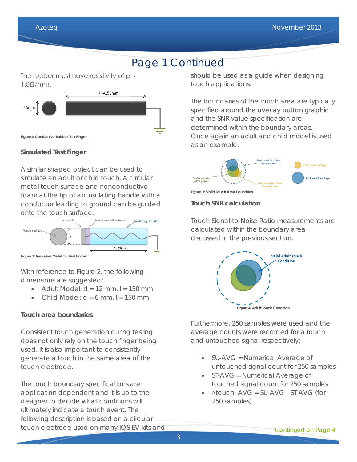### Page 1 Continued

The rubber must have resistivity of  $\rho \approx$ 1.0Ω/mm.



**Simulated Test Finger**

A similar shaped object can be used to simulate an adult or child touch. A circular metal touch surface and nonconductive foam at the tip of an insulating handle with a conductor leading to ground can be guided onto the touch surface.



**Figure 2: Insulated Metal Tip Test Finger**

With reference to Figure 2, the following dimensions are suggested:

- Adult Model:  $d = 12$  mm,  $l = 150$  mm
- Child Model:  $d = 6$  mm,  $l = 150$  mm

### **Touch area boundaries**

Consistent touch generation during testing does not only rely on the touch finger being used. It is also important to consistently generate a touch in the same area of the touch electrode.

The touch boundary specifications are application dependent and it is up to the designer to decide what conditions will ultimately indicate a touch event. The following description is based on a circular touch electrode used on many IQS EV-kits and should be used as a guide when designing touch applications.

The boundaries of the touch area are typically specified around the overlay button graphic and the SNR value specification are determined within the boundary areas. Once again an adult and child model is used as an example.



**Figure 3: Valid Touch Area Boundries**

### **Touch SNR calculation**

Touch Signal-to-Noise Ratio measurements are calculated within the boundary area discussed in the previous section.



Furthermore, 250 samples were used and the average counts were recorded for a touch and untouched signal respectively:

- SU-AVG = Numerical Average of untouched signal count for 250 samples
- ST-AVG = Numerical Average of touched signal count for 250 samples
- ∆touch- AVG = SU-AVG ST-AVG (for 250 samples)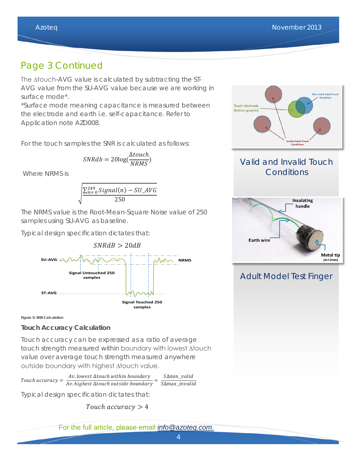### Page 3 Continued

The ∆touch-AVG value is calculated by subtracting the ST-AVG value from the SU-AVG value because we are working in surface mode\*.

\*Surface mode meaning capacitance is measured between the electrode and earth i.e. self-capacitance. Refer to Application note AZD008.

For the touch samples the SNR is calculated as follows:

$$
SNRdb = 20\log(\frac{\Delta touch}{NRMS})
$$

Where NRMS is

$$
\sqrt{\frac{\sum_{n=0}^{249} Signal(n) - SU_AVG}{250}}
$$

The NRMS value is the Root-Mean-Square Noise value of 250 samples using SU-AVG as baseline.

Typical design specification dictates that:



**Figure 5: SNR Calculation**

### **Touch Accuracy Calculation**

Touch accuracy can be expressed as a ratio of average touch strength measured within boundary with lowest ∆touch value over average touch strength measured anywhere outside boundary with highest ∆touch value.

Touch accuracy =  $\frac{Av.\text{lowest} \Delta touch \text{ within boundary}}{Av.\text{highest} \Delta touch \text{ outside boundary}} = \frac{S\Delta min\_valid}{S\Delta max\_invalid}$ 

Typical design specification dictates that:

Touch accuracy  $> 4$ 

For the full article, please email *[info@azoteq.com](mailto:info@azoteq.com)*.



### Valid and Invalid Touch **Conditions**



### Adult Model Test Finger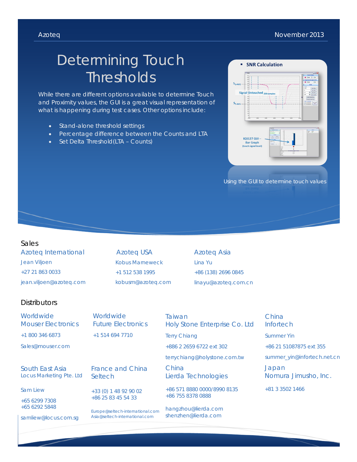#### Azoteq **November 2013**

# Determining Touch **Thresholds**

While there are different options available to determine Touch and Proximity values, the GUI is a great visual representation of what is happening during test cases. Other options include:

- Stand-alone threshold settings
- Percentage difference between the Counts and LTA
- Set Delta Threshold(LTA Counts)



Using the GUI to determine touch values

#### Sales

Azoteq International Jean Viljoen +27 21 863 0033 jean.viljoen@azoteq.com

Azoteq USA Kobus Marneweck +1 512 538 1995 kobusm@azoteq.com

Azoteq Asia Lina Yu +86 (138) 2696 0845 linayu@azoteq.com.cn

#### **Distributors**

| <i>Worldwide</i>          |
|---------------------------|
| <b>Mouser Electronics</b> |
| +1 800 346 6873           |

Sales@mouser.com

South East Asia Locus Marketing Pte. Ltd

Sam Liew

+65 6299 7308 +65 6292 5848

samliew@locus.com.sg

Worldwide Future Electronics +1 514 694 7710

France and China **Seltech** 

+33 (0) 1 48 92 90 02 +86 25 83 45 54 33

Europe@seltech-international.com Asia@seltech-international.com

Taiwan Holy Stone Enterprise Co. Ltd Terry Chiang

+886 2 2659 6722 ext 302

terrychiang@holystone.com.tw

China Lierda Technologies

+86 571 8880 0000/8990 8135 +86 755 8378 0888

hangzhou@lierda.com shenzhen@lierda.com

China **Infortech** Summer Yin +86 21 51087875 ext 355 summer\_yin@infortech.net.cn Japan

Nomura Jimusho, Inc.

+81 3 3502 1466